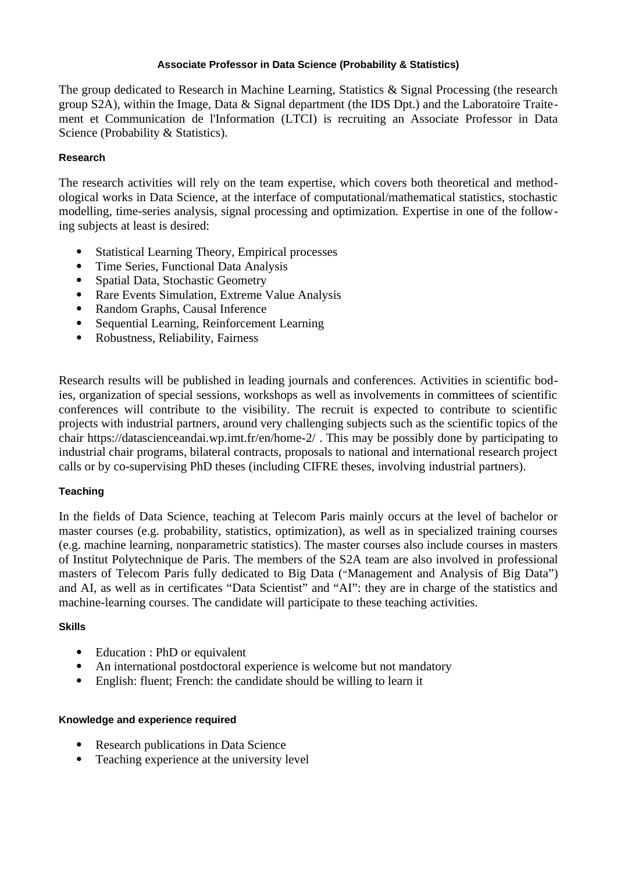### **Associate Professor in Data Science (Probability & Statistics)**

The group dedicated to Research in Machine Learning, Statistics & Signal Processing (the research group S2A), within the Image, Data & Signal department (the IDS Dpt.) and the Laboratoire Traitement et Communication de l'Information (LTCI) is recruiting an Associate Professor in Data Science (Probability & Statistics).

## **Research**

The research activities will rely on the team expertise, which covers both theoretical and methodological works in Data Science, at the interface of computational/mathematical statistics, stochastic modelling, time-series analysis, signal processing and optimization. Expertise in one of the following subjects at least is desired:

- · Statistical Learning Theory, Empirical processes
- Time Series, Functional Data Analysis<br>• Spatial Data, Stochastic Geometry
- Spatial Data, Stochastic Geometry
- · Rare Events Simulation, Extreme Value Analysis
- · Random Graphs, Causal Inference
- Sequential Learning, Reinforcement Learning
- · Robustness, Reliability, Fairness

Research results will be published in leading journals and conferences. Activities in scientific bodies, organization of special sessions, workshops as well as involvements in committees of scientific conferences will contribute to the visibility. The recruit is expected to contribute to scientific projects with industrial partners, around very challenging subjects such as the scientific topics of the chair<https://datascienceandai.wp.imt.fr/en/home-2/>. This may be possibly done by participating to industrial chair programs, bilateral contracts, proposals to national and international research project calls or by co-supervising PhD theses (including CIFRE theses, involving industrial partners).

### **Teaching**

In the fields of Data Science, teaching at Telecom Paris mainly occurs at the level of bachelor or master courses (e.g. probability, statistics, optimization), as well as in specialized training courses (e.g. machine learning, nonparametric statistics). The master courses also include courses in masters of Institut Polytechnique de Paris. The members of the S2A team are also involved in professional masters of Telecom Paris fully dedicated to Big Data ("Management and Analysis of Big Data") and AI, as well as in certificates "Data Scientist" and "AI": they are in charge of the statistics and machine-learning courses. The candidate will participate to these teaching activities.

### **Skills**

- Education : PhD or equivalent
- · An international postdoctoral experience is welcome but not mandatory
- · English: fluent; French: the candidate should be willing to learn it

### **Knowledge and experience required**

- · Research publications in Data Science
- Teaching experience at the university level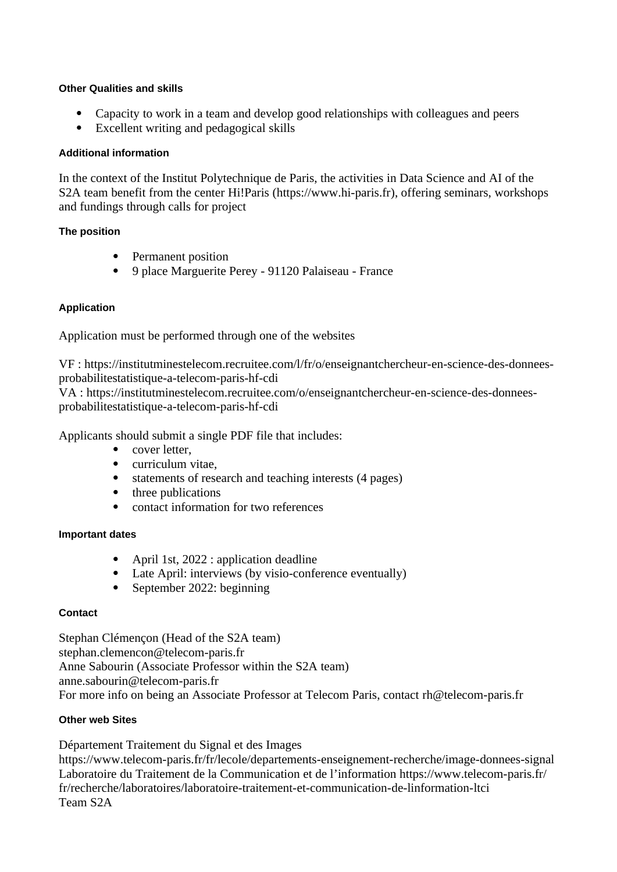# **Other Qualities and skills**

- · Capacity to work in a team and develop good relationships with colleagues and peers
- · Excellent writing and pedagogical skills

## **Additional information**

In the context of the Institut Polytechnique de Paris, the activities in Data Science and AI of the S2A team benefit from the center Hi!Paris [\(https://www.hi-paris.fr](https://www.hi-paris.fr/)), offering seminars, workshops and fundings through calls for project

# **The position**

- · Permanent position
- · 9 place Marguerite Perey 91120 Palaiseau France

# **Application**

Application must be performed through one of the websites

VF : https://institutminestelecom.recruitee.com/l/fr/o/enseignantchercheur-en-science-des-donneesprobabilitestatistique-a-telecom-paris-hf-cdi

VA : https://institutminestelecom.recruitee.com/o/enseignantchercheur-en-science-des-donneesprobabilitestatistique-a-telecom-paris-hf-cdi

Applicants should submit a single PDF file that includes:

- cover letter.
- · curriculum vitae,
- statements of research and teaching interests (4 pages)
- three publications
- · contact information for two references

### **Important dates**

- April 1st, 2022 : application deadline
- · Late April: interviews (by visio-conference eventually)
- September 2022: beginning

### **Contact**

Stephan Clémençon (Head of the S2A team) stephan.clemencon@telecom-paris.fr Anne Sabourin (Associate Professor within the S2A team) anne.sabourin@telecom-paris.fr For more info on being an Associate Professor at Telecom Paris, contact [rh@telecom-paris.fr](mailto:rh@telecom-paris.fr)

# **Other web Sites**

Département Traitement du Signal et des Images <https://www.telecom-paris.fr/fr/lecole/departements-enseignement-recherche/image-donnees-signal> Laboratoire du Traitement de la Communication et de l'information [https://www.telecom-paris.fr/](https://www.telecom-paris.fr/fr/recherche/laboratoires/laboratoire-traitement-et-communication-de-linformation-ltci) [fr/recherche/laboratoires/laboratoire-traitement-et-communication-de-linformation-ltci](https://www.telecom-paris.fr/fr/recherche/laboratoires/laboratoire-traitement-et-communication-de-linformation-ltci) Team S2A